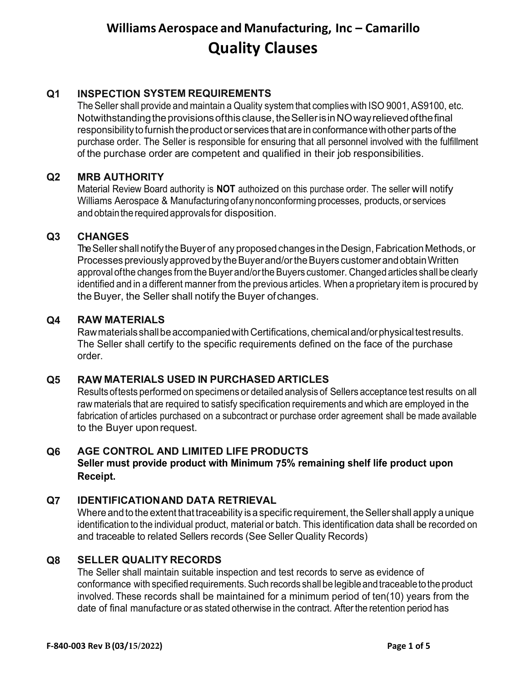# **Q1 INSPECTION SYSTEM REQUIREMENTS**

The Seller shall provide and maintain a Quality system that complies with ISO 9001, AS9100, etc. Notwithstanding the provisions of this clause, the Seller is in NO way relieved of the final responsibility to furnish the product or services that are in conformance with other parts of the purchase order. The Seller is responsible for ensuring that all personnel involved with the fulfillment of the purchase order are competent and qualified in their job responsibilities.

## **Q2 MRB AUTHORITY**

Material Review Board authority is **NOT** authoized on this purchase order. The seller will notify Williams Aerospace & Manufacturingofanynonconforming processes, products, or services and obtain the required approvals for disposition.

## **Q3 CHANGES**

The Seller shall notify the Buyer of any proposed changes in the Design, Fabrication Methods, or Processes previously approved by the Buyer and/or the Buyers customer and obtain Written approval ofthe changes from the Buyer and/orthe Buyers customer. Changed articles shallbe clearly identified and in a different manner from the previous articles. When a proprietary item is procured by the Buyer, the Seller shall notify the Buyer ofchanges.

## **Q4 RAW MATERIALS**

Raw materials shall be accompanied with Certifications, chemical and/or physical test results. The Seller shall certify to the specific requirements defined on the face of the purchase order.

## **Q5 RAW MATERIALS USED IN PURCHASED ARTICLES**

Resultsoftests performed on specimens or detailed analysis of Sellers acceptance test results on all raw materials that are required to satisfy specification requirements and which are employed in the fabrication of articles purchased on a subcontract or purchase order agreement shall be made available to the Buyer uponrequest.

# **Q6 AGE CONTROL AND LIMITED LIFE PRODUCTS**

### **Seller must provide product with Minimum 75% remaining shelf life product upon Receipt.**

### **Q7 IDENTIFICATIONAND DATA RETRIEVAL**

Where and to the extent that traceability is a specific requirement, the Seller shall apply a unique identification to the individual product, material or batch. This identification data shall be recorded on and traceable to related Sellers records (See Seller Quality Records)

### **Q8 SELLER QUALITY RECORDS**

The Seller shall maintain suitable inspection and test records to serve as evidence of conformance with specified requirements. Such records shall be legible and traceable to the product involved. These records shall be maintained for a minimum period of ten(10) years from the date of final manufacture oras stated otherwise in the contract. After the retention period has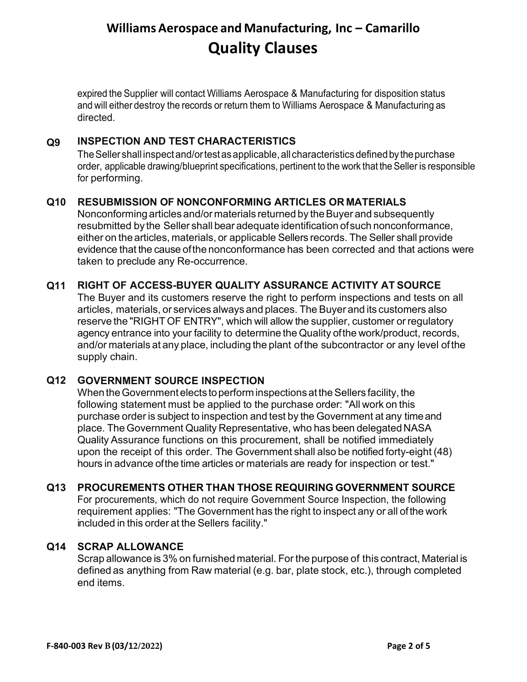expired the Supplier will contact Williams Aerospace & Manufacturing for disposition status and will either destroy the records or return them to Williams Aerospace & Manufacturing as directed.

# **Q9 INSPECTION AND TEST CHARACTERISTICS**

The Seller shall inspect and/or test as applicable, all characteristics defined by the purchase order, applicable drawing/blueprint specifications, pertinent to the work that the Seller is responsible for performing.

## **Q10 RESUBMISSION OF NONCONFORMING ARTICLES OR MATERIALS**

Nonconforming articles and/or materials returned by the Buyer and subsequently resubmitted by the Seller shall bear adequate identification ofsuch nonconformance, either on the articles, materials, or applicable Sellers records. The Seller shall provide evidence that the cause ofthe nonconformance has been corrected and that actions were taken to preclude any Re-occurrence.

## **Q11 RIGHT OF ACCESS-BUYER QUALITY ASSURANCE ACTIVITY AT SOURCE**

The Buyer and its customers reserve the right to perform inspections and tests on all articles, materials, or services always and places. The Buyer and its customers also reserve the "RIGHT OF ENTRY", which will allow the supplier, customer or regulatory agency entrance into your facility to determine the Quality ofthe work/product, records, and/or materials at any place, including the plant ofthe subcontractor or any level ofthe supply chain.

### **Q12 GOVERNMENT SOURCE INSPECTION**

When the Government elects to perform inspections at the Sellers facility, the following statement must be applied to the purchase order: "All work on this purchase order is subject to inspection and test by the Government at any timeand place. The Government Quality Representative, who has been delegated NASA Quality Assurance functions on this procurement, shall be notified immediately upon the receipt of this order. The Government shall also be notified forty-eight (48) hours in advance ofthe time articles or materials are ready for inspection or test."

### **Q13 PROCUREMENTS OTHER THAN THOSE REQUIRING GOVERNMENT SOURCE**

For procurements, which do not require Government Source Inspection, the following requirement applies: "The Government has the right to inspect any or all ofthe work included in this order at the Sellers facility."

### **Q14 SCRAP ALLOWANCE**

Scrap allowance is 3% on furnished material. For the purpose of this contract, Material is defined as anything from Raw material (e.g. bar, plate stock, etc.), through completed end items.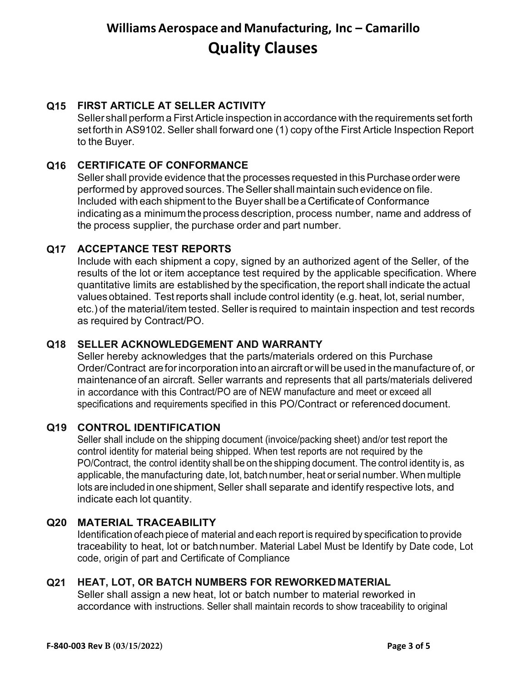# **Q15 FIRST ARTICLE AT SELLER ACTIVITY**

Seller shall perform a FirstArticle inspection in accordance with the requirements set forth set forth in AS9102. Seller shall forward one (1) copy ofthe First Article Inspection Report to the Buyer.

# **Q16 CERTIFICATE OF CONFORMANCE**

Seller shall provide evidence that the processes requested in this Purchase order were performed by approved sources.TheSeller shallmaintain such evidence on file. Included with each shipment to the Buyer shall be aCertificateof Conformance indicating as a minimum the process description, process number, name and address of the process supplier, the purchase order and part number.

# **Q17 ACCEPTANCE TEST REPORTS**

Include with each shipment a copy, signed by an authorized agent of the Seller, of the results of the lot or item acceptance test required by the applicable specification. Where quantitative limits are established by the specification, the report shall indicate the actual values obtained. Testreports shall include control identity (e.g. heat, lot, serial number, etc.) of the material/item tested. Seller is required to maintain inspection and test records as required by Contract/PO.

## **Q18 SELLER ACKNOWLEDGEMENT AND WARRANTY**

Seller hereby acknowledges that the parts/materials ordered on this Purchase Order/Contract areforincorporation into an aircraft or will be used in the manufacture of, or maintenance of an aircraft. Seller warrants and represents that all parts/materials delivered in accordance with this Contract/PO are of NEW manufacture and meet or exceed all specifications and requirements specified in this PO/Contract or referenced document.

# **Q19 CONTROL IDENTIFICATION**

Seller shall include on the shipping document (invoice/packing sheet) and/or test report the control identity for material being shipped. When test reports are not required by the PO/Contract, the control identity shall be on the shipping document. The control identity is, as applicable, the manufacturing date, lot, batchnumber, heat or serial number. When multiple lots are included in one shipment, Seller shall separate and identify respective lots, and indicate each lot quantity.

# **Q20 MATERIAL TRACEABILITY**

Identification ofeach piece of material and each report is required by specification to provide traceability to heat, lot or batchnumber. Material Label Must be Identify by Date code, Lot code, origin of part and Certificate of Compliance

### **Q21 HEAT, LOT, OR BATCH NUMBERS FOR REWORKEDMATERIAL**

Seller shall assign a new heat, lot or batch number to material reworked in accordance with instructions. Seller shall maintain records to show traceability to original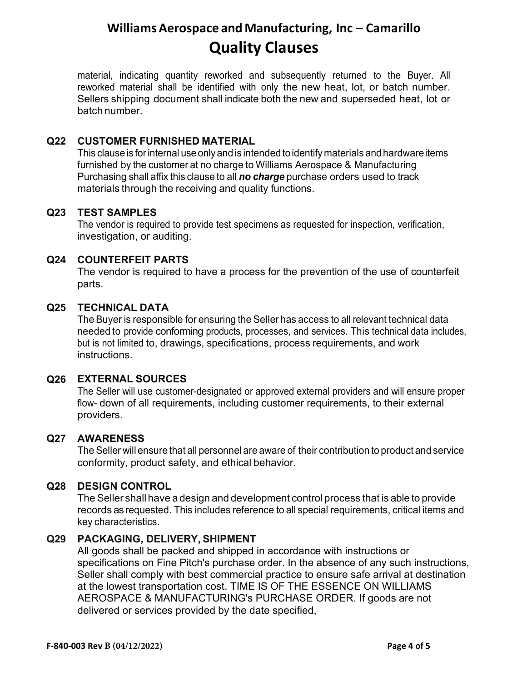material, indicating quantity reworked and subsequently returned to the Buyer. All reworked material shall be identified with only the new heat, lot, or batch number. Sellers shipping document shall indicate both the new and superseded heat, lot or batch number.

## **Q22 CUSTOMER FURNISHED MATERIAL**

This clause is for internal use only and is intended to identify materials and hardware items furnished by the customer at no charge to Williams Aerospace & Manufacturing Purchasing shall affix this clause to all *no charge* purchase orders used to track materials through the receiving and quality functions.

### **Q23 TEST SAMPLES**

The vendor is required to provide test specimens as requested for inspection, verification, investigation, or auditing.

## **Q24 COUNTERFEIT PARTS**

The vendor is required to have a process for the prevention of the use of counterfeit parts.

### **Q25 TECHNICAL DATA**

The Buyer is responsible for ensuring the Seller has access to all relevant technical data needed to provide conforming products, processes, and services. This technical data includes, but is not limited to, drawings, specifications, process requirements, and work instructions.

# **Q26 EXTERNAL SOURCES**

The Seller will use customer-designated or approved external providers and will ensure proper flow- down of all requirements, including customer requirements, to their external providers.

### **Q27 AWARENESS**

The Seller will ensure that all personnel are aware of their contribution to product and service conformity, product safety, and ethical behavior.

### **Q28 DESIGN CONTROL**

The Seller shall have a design and development control process that is able to provide records as requested. This includes reference to all special requirements, critical items and key characteristics.

### **Q29 PACKAGING, DELIVERY, SHIPMENT**

All goods shall be packed and shipped in accordance with instructions or specifications on Fine Pitch's purchase order. In the absence of any such instructions, Seller shall comply with best commercial practice to ensure safe arrival at destination at the lowest transportation cost. TIME IS OF THE ESSENCE ON WILLIAMS AEROSPACE & MANUFACTURING's PURCHASE ORDER. If goods are not delivered or services provided by the date specified,